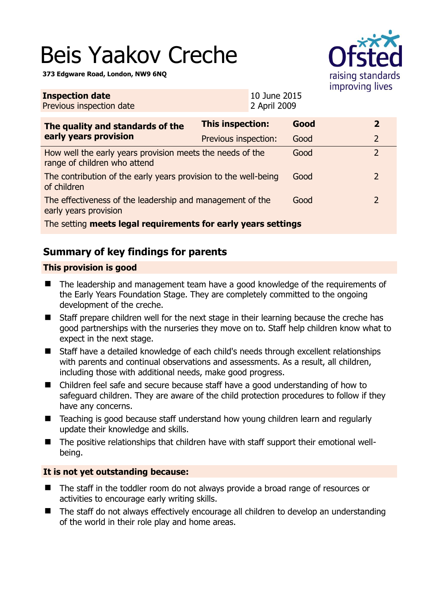# Beis Yaakov Creche

**373 Edgware Road, London, NW9 6NQ** 



| <b>Inspection date</b><br>Previous inspection date                                        |                         | 10 June 2015<br>2 April 2009 |      |  |                |
|-------------------------------------------------------------------------------------------|-------------------------|------------------------------|------|--|----------------|
| The quality and standards of the<br>early years provision                                 | <b>This inspection:</b> |                              | Good |  | $\mathbf{2}$   |
|                                                                                           | Previous inspection:    |                              | Good |  | $\overline{2}$ |
| How well the early years provision meets the needs of the<br>range of children who attend |                         |                              | Good |  | $\overline{2}$ |
| The contribution of the early years provision to the well-being<br>of children            |                         |                              | Good |  | $\overline{2}$ |
| The effectiveness of the leadership and management of the<br>early years provision        |                         |                              | Good |  | $\overline{2}$ |
| The setting meets legal requirements for early years settings                             |                         |                              |      |  |                |

# **Summary of key findings for parents**

## **This provision is good**

- The leadership and management team have a good knowledge of the requirements of the Early Years Foundation Stage. They are completely committed to the ongoing development of the creche.
- Staff prepare children well for the next stage in their learning because the creche has good partnerships with the nurseries they move on to. Staff help children know what to expect in the next stage.
- Staff have a detailed knowledge of each child's needs through excellent relationships with parents and continual observations and assessments. As a result, all children, including those with additional needs, make good progress.
- Children feel safe and secure because staff have a good understanding of how to safeguard children. They are aware of the child protection procedures to follow if they have any concerns.
- Teaching is good because staff understand how young children learn and regularly update their knowledge and skills.
- The positive relationships that children have with staff support their emotional wellbeing.

## **It is not yet outstanding because:**

- The staff in the toddler room do not always provide a broad range of resources or activities to encourage early writing skills.
- The staff do not always effectively encourage all children to develop an understanding of the world in their role play and home areas.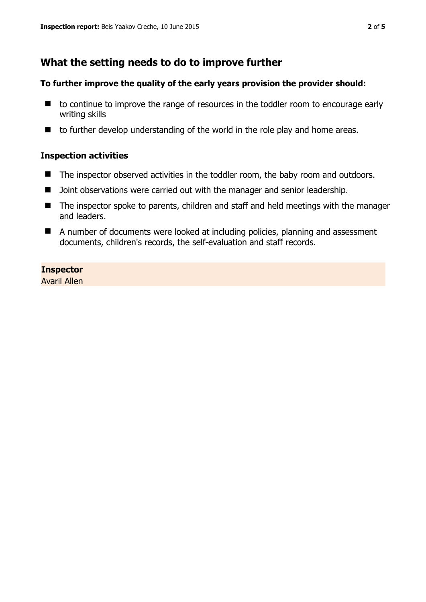# **What the setting needs to do to improve further**

### **To further improve the quality of the early years provision the provider should:**

- to continue to improve the range of resources in the toddler room to encourage early writing skills
- $\blacksquare$  to further develop understanding of the world in the role play and home areas.

### **Inspection activities**

- The inspector observed activities in the toddler room, the baby room and outdoors.
- D Joint observations were carried out with the manager and senior leadership.
- The inspector spoke to parents, children and staff and held meetings with the manager and leaders.
- A number of documents were looked at including policies, planning and assessment documents, children's records, the self-evaluation and staff records.

## **Inspector**

Avaril Allen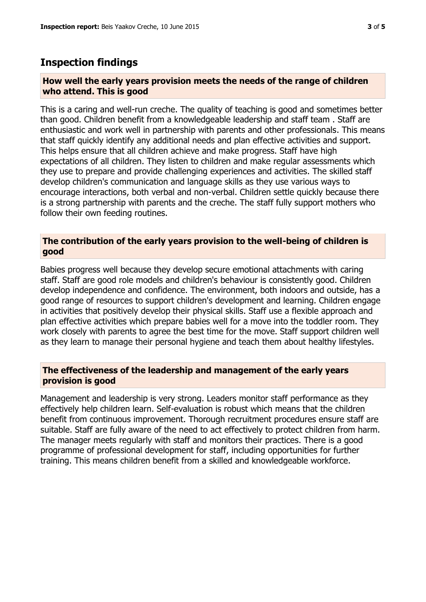# **Inspection findings**

#### **How well the early years provision meets the needs of the range of children who attend. This is good**

This is a caring and well-run creche. The quality of teaching is good and sometimes better than good. Children benefit from a knowledgeable leadership and staff team . Staff are enthusiastic and work well in partnership with parents and other professionals. This means that staff quickly identify any additional needs and plan effective activities and support. This helps ensure that all children achieve and make progress. Staff have high expectations of all children. They listen to children and make regular assessments which they use to prepare and provide challenging experiences and activities. The skilled staff develop children's communication and language skills as they use various ways to encourage interactions, both verbal and non-verbal. Children settle quickly because there is a strong partnership with parents and the creche. The staff fully support mothers who follow their own feeding routines.

#### **The contribution of the early years provision to the well-being of children is good**

Babies progress well because they develop secure emotional attachments with caring staff. Staff are good role models and children's behaviour is consistently good. Children develop independence and confidence. The environment, both indoors and outside, has a good range of resources to support children's development and learning. Children engage in activities that positively develop their physical skills. Staff use a flexible approach and plan effective activities which prepare babies well for a move into the toddler room. They work closely with parents to agree the best time for the move. Staff support children well as they learn to manage their personal hygiene and teach them about healthy lifestyles.

#### **The effectiveness of the leadership and management of the early years provision is good**

Management and leadership is very strong. Leaders monitor staff performance as they effectively help children learn. Self-evaluation is robust which means that the children benefit from continuous improvement. Thorough recruitment procedures ensure staff are suitable. Staff are fully aware of the need to act effectively to protect children from harm. The manager meets regularly with staff and monitors their practices. There is a good programme of professional development for staff, including opportunities for further training. This means children benefit from a skilled and knowledgeable workforce.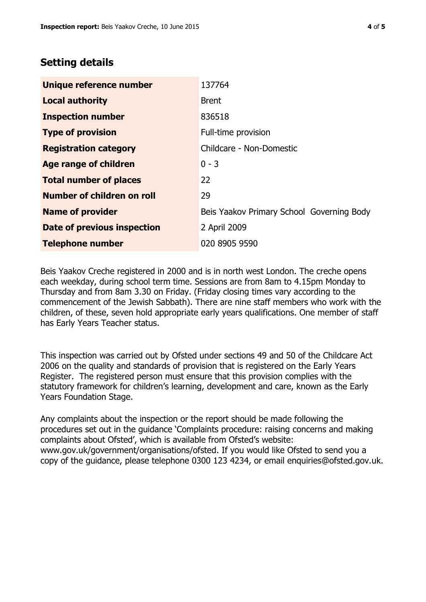# **Setting details**

| Unique reference number            | 137764                                    |  |  |
|------------------------------------|-------------------------------------------|--|--|
| <b>Local authority</b>             | <b>Brent</b>                              |  |  |
| <b>Inspection number</b>           | 836518                                    |  |  |
| <b>Type of provision</b>           | Full-time provision                       |  |  |
| <b>Registration category</b>       | Childcare - Non-Domestic                  |  |  |
| Age range of children              | $0 - 3$                                   |  |  |
| <b>Total number of places</b>      | 22                                        |  |  |
| Number of children on roll         | 29                                        |  |  |
| <b>Name of provider</b>            | Beis Yaakov Primary School Governing Body |  |  |
| <b>Date of previous inspection</b> | 2 April 2009                              |  |  |
| <b>Telephone number</b>            | 020 8905 9590                             |  |  |

Beis Yaakov Creche registered in 2000 and is in north west London. The creche opens each weekday, during school term time. Sessions are from 8am to 4.15pm Monday to Thursday and from 8am 3.30 on Friday. (Friday closing times vary according to the commencement of the Jewish Sabbath). There are nine staff members who work with the children, of these, seven hold appropriate early years qualifications. One member of staff has Early Years Teacher status.

This inspection was carried out by Ofsted under sections 49 and 50 of the Childcare Act 2006 on the quality and standards of provision that is registered on the Early Years Register. The registered person must ensure that this provision complies with the statutory framework for children's learning, development and care, known as the Early Years Foundation Stage.

Any complaints about the inspection or the report should be made following the procedures set out in the guidance 'Complaints procedure: raising concerns and making complaints about Ofsted', which is available from Ofsted's website: www.gov.uk/government/organisations/ofsted. If you would like Ofsted to send you a copy of the guidance, please telephone 0300 123 4234, or email enquiries@ofsted.gov.uk.